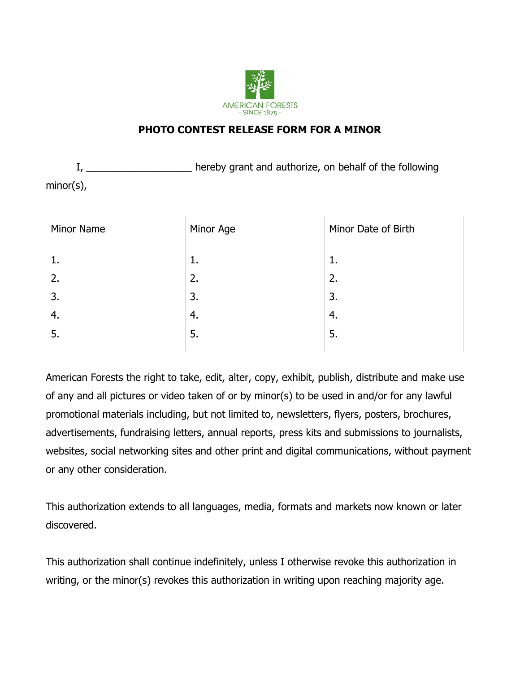

## **PHOTO CONTEST RELEASE FORM FOR A MINOR**

I, \_\_\_\_\_\_\_\_\_\_\_\_\_\_\_\_\_\_\_\_\_\_\_ hereby grant and authorize, on behalf of the following minor(s),

| Minor Name | Minor Age | Minor Date of Birth |
|------------|-----------|---------------------|
| ī.         | 1.        | 1.                  |
| 2.         | 2.        | 2.                  |
| 3.         | 3.        | 3.                  |
| 4.         | 4.        | 4.                  |
| 5.         | 5.        | 5.                  |
|            |           |                     |

American Forests the right to take, edit, alter, copy, exhibit, publish, distribute and make use of any and all pictures or video taken of or by minor(s) to be used in and/or for any lawful promotional materials including, but not limited to, newsletters, flyers, posters, brochures, advertisements, fundraising letters, annual reports, press kits and submissions to journalists, websites, social networking sites and other print and digital communications, without payment or any other consideration.

This authorization extends to all languages, media, formats and markets now known or later discovered.

This authorization shall continue indefinitely, unless I otherwise revoke this authorization in writing, or the minor(s) revokes this authorization in writing upon reaching majority age.